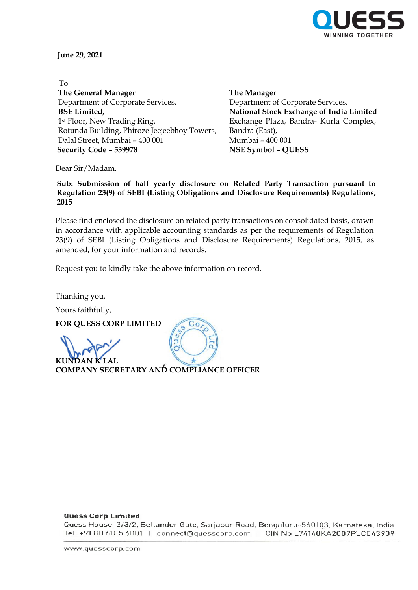

**June 29, 2021**

 To **The General Manager** Department of Corporate Services, **BSE Limited,** 1st Floor, New Trading Ring, Rotunda Building, Phiroze Jeejeebhoy Towers, Dalal Street, Mumbai – 400 001  **Security Code – 539978 NSE Symbol – QUESS**

**The Manager** Department of Corporate Services, **National Stock Exchange of India Limited** Exchange Plaza, Bandra- Kurla Complex, Bandra (East), Mumbai – 400 001

Dear Sir/Madam,

**Sub: Submission of half yearly disclosure on Related Party Transaction pursuant to Regulation 23(9) of SEBI (Listing Obligations and Disclosure Requirements) Regulations, 2015**

Please find enclosed the disclosure on related party transactions on consolidated basis, drawn in accordance with applicable accounting standards as per the requirements of Regulation 23(9) of SEBI (Listing Obligations and Disclosure Requirements) Regulations, 2015, as amended, for your information and records.

 $Co$ 

Request you to kindly take the above information on record.

Thanking you,

Yours faithfully,

**FOR QUESS CORP LIMITED** 

**KUNDAN K LAL**

**COMPANY SECRETARY AND COMPLIANCE OFFICER**

## **Quess Corp Limited**

Quess House, 3/3/2, Bellandur Gate, Sarjapur Road, Bengaluru-560103, Karnataka, India Tel: +91 80 6105 6001 | connect@quesscorp.com | CIN No.L74140KA2007PLC043909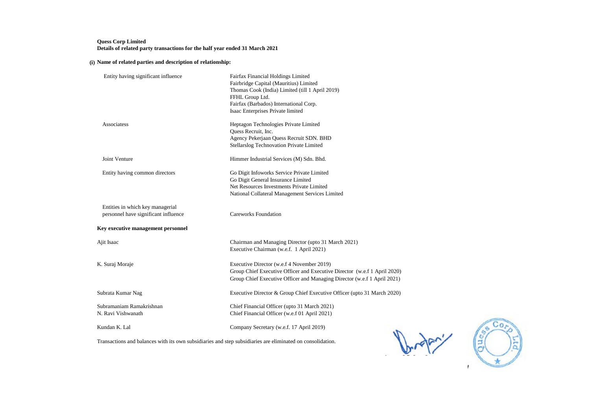## **Quess Corp Limited Details of related party transactions for the half year ended 31 March 2021**

## **(i) Name of related parties and description of relationship:**

| Entity having significant influence                                                                        | Fairfax Financial Holdings Limited<br>Fairbridge Capital (Mauritius) Limited<br>Thomas Cook (India) Limited (till 1 April 2019)<br>FFHL Group Ltd.<br>Fairfax (Barbados) International Corp.<br>Isaac Enterprises Private limited |
|------------------------------------------------------------------------------------------------------------|-----------------------------------------------------------------------------------------------------------------------------------------------------------------------------------------------------------------------------------|
| Associatess                                                                                                | Heptagon Technologies Private Limited<br>Quess Recruit, Inc.<br>Agency Pekerjaan Quess Recruit SDN. BHD<br>Stellarslog Technovation Private Limited                                                                               |
| Joint Venture                                                                                              | Himmer Industrial Services (M) Sdn. Bhd.                                                                                                                                                                                          |
| Entity having common directors                                                                             | Go Digit Infoworks Service Private Limited<br>Go Digit General Insurance Limited<br>Net Resources Investments Private Limited<br>National Collateral Management Services Limited                                                  |
| Entities in which key managerial<br>personnel have significant influence                                   | <b>Careworks Foundation</b>                                                                                                                                                                                                       |
| Key executive management personnel                                                                         |                                                                                                                                                                                                                                   |
| Ajit Isaac                                                                                                 | Chairman and Managing Director (upto 31 March 2021)<br>Executive Chairman (w.e.f. 1 April 2021)                                                                                                                                   |
| K. Suraj Moraje                                                                                            | Executive Director (w.e.f 4 November 2019)<br>Group Chief Executive Officer and Executive Director (w.e.f 1 April 2020)<br>Group Chief Executive Officer and Managing Director (w.e.f 1 April 2021)                               |
| Subrata Kumar Nag                                                                                          | Executive Director & Group Chief Executive Officer (upto 31 March 2020)                                                                                                                                                           |
| Subramaniam Ramakrishnan<br>N. Ravi Vishwanath                                                             | Chief Financial Officer (upto 31 March 2021)<br>Chief Financial Officer (w.e.f 01 April 2021)                                                                                                                                     |
| Kundan K. Lal                                                                                              | Company Secretary (w.e.f. 17 April 2019)                                                                                                                                                                                          |
| Transactions and balances with its own subsidiaries and step subsidiaries are eliminated on consolidation. |                                                                                                                                                                                                                                   |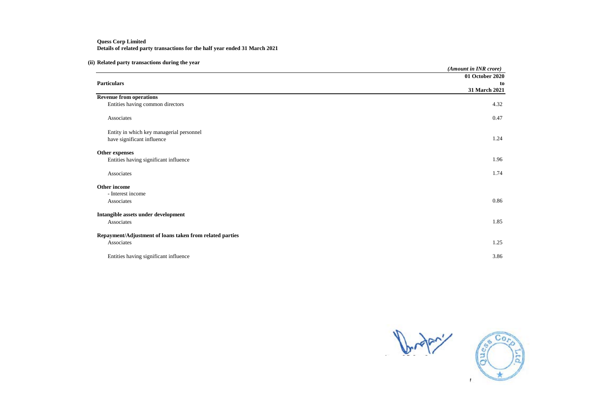## **Quess Corp Limited Details of related party transactions for the half year ended 31 March 2021**

# **(ii) Related party transactions during the year**

|                                                          | (Amount in INR crore) |
|----------------------------------------------------------|-----------------------|
|                                                          | 01 October 2020       |
| <b>Particulars</b>                                       | to                    |
|                                                          | 31 March 2021         |
| <b>Revenue from operations</b>                           |                       |
| Entities having common directors                         | 4.32                  |
| Associates                                               | 0.47                  |
| Entity in which key managerial personnel                 |                       |
| have significant influence                               | 1.24                  |
| Other expenses                                           |                       |
| Entities having significant influence                    | 1.96                  |
| Associates                                               | 1.74                  |
| Other income                                             |                       |
| - Interest income                                        |                       |
| Associates                                               | 0.86                  |
| Intangible assets under development                      |                       |
| Associates                                               | 1.85                  |
| Repayment/Adjustment of loans taken from related parties |                       |
| Associates                                               | 1.25                  |
| Entities having significant influence                    | 3.86                  |



Ltd